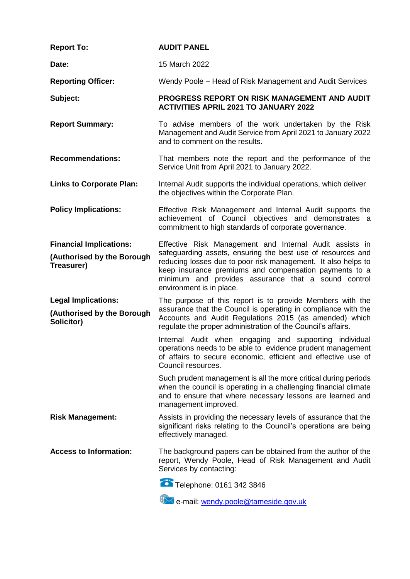| <b>Report To:</b>                                                          | <b>AUDIT PANEL</b>                                                                                                                                                                                                                                                                                                                   |
|----------------------------------------------------------------------------|--------------------------------------------------------------------------------------------------------------------------------------------------------------------------------------------------------------------------------------------------------------------------------------------------------------------------------------|
| Date:                                                                      | 15 March 2022                                                                                                                                                                                                                                                                                                                        |
| <b>Reporting Officer:</b>                                                  | Wendy Poole – Head of Risk Management and Audit Services                                                                                                                                                                                                                                                                             |
| Subject:                                                                   | PROGRESS REPORT ON RISK MANAGEMENT AND AUDIT<br><b>ACTIVITIES APRIL 2021 TO JANUARY 2022</b>                                                                                                                                                                                                                                         |
| <b>Report Summary:</b>                                                     | To advise members of the work undertaken by the Risk<br>Management and Audit Service from April 2021 to January 2022<br>and to comment on the results.                                                                                                                                                                               |
| <b>Recommendations:</b>                                                    | That members note the report and the performance of the<br>Service Unit from April 2021 to January 2022.                                                                                                                                                                                                                             |
| <b>Links to Corporate Plan:</b>                                            | Internal Audit supports the individual operations, which deliver<br>the objectives within the Corporate Plan.                                                                                                                                                                                                                        |
| <b>Policy Implications:</b>                                                | Effective Risk Management and Internal Audit supports the<br>achievement of Council objectives and demonstrates a<br>commitment to high standards of corporate governance.                                                                                                                                                           |
| <b>Financial Implications:</b><br>(Authorised by the Borough<br>Treasurer) | Effective Risk Management and Internal Audit assists in<br>safeguarding assets, ensuring the best use of resources and<br>reducing losses due to poor risk management. It also helps to<br>keep insurance premiums and compensation payments to a<br>minimum and provides assurance that a sound control<br>environment is in place. |
| <b>Legal Implications:</b><br>(Authorised by the Borough<br>Solicitor)     | The purpose of this report is to provide Members with the<br>assurance that the Council is operating in compliance with the<br>Accounts and Audit Regulations 2015 (as amended) which<br>regulate the proper administration of the Council's affairs.                                                                                |
|                                                                            | Internal Audit when engaging and supporting individual<br>operations needs to be able to evidence prudent management<br>of affairs to secure economic, efficient and effective use of<br>Council resources.                                                                                                                          |
|                                                                            | Such prudent management is all the more critical during periods<br>when the council is operating in a challenging financial climate<br>and to ensure that where necessary lessons are learned and<br>management improved.                                                                                                            |
| <b>Risk Management:</b>                                                    | Assists in providing the necessary levels of assurance that the<br>significant risks relating to the Council's operations are being<br>effectively managed.                                                                                                                                                                          |
| <b>Access to Information:</b>                                              | The background papers can be obtained from the author of the<br>report, Wendy Poole, Head of Risk Management and Audit<br>Services by contacting:                                                                                                                                                                                    |
|                                                                            | Telephone: 0161 342 3846                                                                                                                                                                                                                                                                                                             |
|                                                                            | e-mail: wendy.poole@tameside.gov.uk                                                                                                                                                                                                                                                                                                  |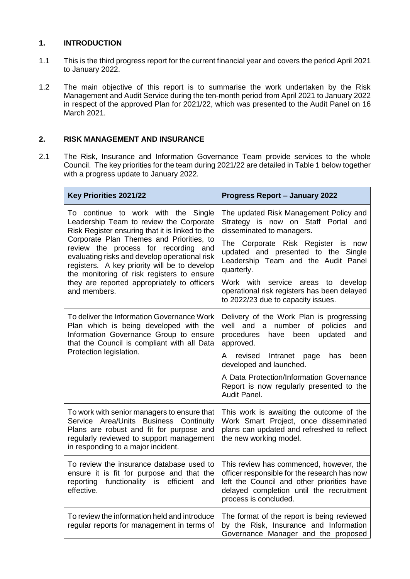## **1. INTRODUCTION**

- 1.1 This is the third progress report for the current financial year and covers the period April 2021 to January 2022.
- 1.2 The main objective of this report is to summarise the work undertaken by the Risk Management and Audit Service during the ten-month period from April 2021 to January 2022 in respect of the approved Plan for 2021/22, which was presented to the Audit Panel on 16 March 2021.

## **2. RISK MANAGEMENT AND INSURANCE**

2.1 The Risk, Insurance and Information Governance Team provide services to the whole Council. The key priorities for the team during 2021/22 are detailed in Table 1 below together with a progress update to January 2022.

| Key Priorities 2021/22                                                                                                                                                                                                                                                                                                                                                                                                              | <b>Progress Report - January 2022</b>                                                                                                                                                                                                                                                                                                                                               |
|-------------------------------------------------------------------------------------------------------------------------------------------------------------------------------------------------------------------------------------------------------------------------------------------------------------------------------------------------------------------------------------------------------------------------------------|-------------------------------------------------------------------------------------------------------------------------------------------------------------------------------------------------------------------------------------------------------------------------------------------------------------------------------------------------------------------------------------|
| To continue to work with the Single<br>Leadership Team to review the Corporate<br>Risk Register ensuring that it is linked to the<br>Corporate Plan Themes and Priorities, to<br>review the process for recording and<br>evaluating risks and develop operational risk<br>registers. A key priority will be to develop<br>the monitoring of risk registers to ensure<br>they are reported appropriately to officers<br>and members. | The updated Risk Management Policy and<br>Strategy is now on Staff Portal and<br>disseminated to managers.<br>The Corporate Risk Register is now<br>updated and presented to the Single<br>Leadership Team and the Audit Panel<br>quarterly.<br>Work with<br>service<br>develop<br>areas<br>to<br>operational risk registers has been delayed<br>to 2022/23 due to capacity issues. |
| To deliver the Information Governance Work<br>Plan which is being developed with the<br>Information Governance Group to ensure<br>that the Council is compliant with all Data<br>Protection legislation.                                                                                                                                                                                                                            | Delivery of the Work Plan is progressing<br>well and a number of<br>policies<br>and<br>procedures<br>have<br>updated<br>been<br>and<br>approved.<br>A revised<br>Intranet<br>page<br>has<br>been<br>developed and launched.<br>A Data Protection/Information Governance<br>Report is now regularly presented to the<br>Audit Panel.                                                 |
| To work with senior managers to ensure that<br>Service Area/Units Business Continuity<br>Plans are robust and fit for purpose and<br>regularly reviewed to support management<br>in responding to a major incident.                                                                                                                                                                                                                 | This work is awaiting the outcome of the<br>Work Smart Project, once disseminated<br>plans can updated and refreshed to reflect<br>the new working model.                                                                                                                                                                                                                           |
| To review the insurance database used to<br>ensure it is fit for purpose and that the<br>reporting<br>functionality is efficient<br>and<br>effective.                                                                                                                                                                                                                                                                               | This review has commenced, however, the<br>officer responsible for the research has now<br>left the Council and other priorities have<br>delayed completion until the recruitment<br>process is concluded.                                                                                                                                                                          |
| To review the information held and introduce<br>regular reports for management in terms of                                                                                                                                                                                                                                                                                                                                          | The format of the report is being reviewed<br>by the Risk, Insurance and Information<br>Governance Manager and the proposed                                                                                                                                                                                                                                                         |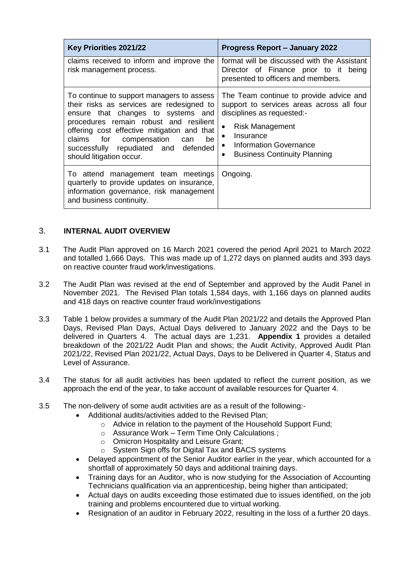| Key Priorities 2021/22                                                                                                                                                                                                                                                                                                          | <b>Progress Report – January 2022</b>                                                                                                                                                                                                                  |
|---------------------------------------------------------------------------------------------------------------------------------------------------------------------------------------------------------------------------------------------------------------------------------------------------------------------------------|--------------------------------------------------------------------------------------------------------------------------------------------------------------------------------------------------------------------------------------------------------|
| claims received to inform and improve the<br>risk management process.                                                                                                                                                                                                                                                           | format will be discussed with the Assistant<br>Director of Finance prior to it being<br>presented to officers and members.                                                                                                                             |
| To continue to support managers to assess<br>their risks as services are redesigned to<br>ensure that changes to systems and<br>procedures remain robust and resilient<br>offering cost effective mitigation and that<br>claims for compensation can<br>be.<br>successfully repudiated and defended<br>should litigation occur. | The Team continue to provide advice and<br>support to services areas across all four<br>disciplines as requested:-<br><b>Risk Management</b><br>Insurance<br>$\bullet$<br>• Information Governance<br><b>Business Continuity Planning</b><br>$\bullet$ |
| To attend management team meetings<br>quarterly to provide updates on insurance,<br>information governance, risk management<br>and business continuity.                                                                                                                                                                         | Ongoing.                                                                                                                                                                                                                                               |

## 3. **INTERNAL AUDIT OVERVIEW**

- 3.1 The Audit Plan approved on 16 March 2021 covered the period April 2021 to March 2022 and totalled 1,666 Days. This was made up of 1,272 days on planned audits and 393 days on reactive counter fraud work/investigations.
- 3.2 The Audit Plan was revised at the end of September and approved by the Audit Panel in November 2021. The Revised Plan totals 1,584 days, with 1,166 days on planned audits and 418 days on reactive counter fraud work/investigations
- 3.3 Table 1 below provides a summary of the Audit Plan 2021/22 and details the Approved Plan Days, Revised Plan Days, Actual Days delivered to January 2022 and the Days to be delivered in Quarters 4. The actual days are 1,231. **Appendix 1** provides a detailed breakdown of the 2021/22 Audit Plan and shows; the Audit Activity, Approved Audit Plan 2021/22, Revised Plan 2021/22, Actual Days, Days to be Delivered in Quarter 4, Status and Level of Assurance.
- 3.4 The status for all audit activities has been updated to reflect the current position, as we approach the end of the year, to take account of available resources for Quarter 4.
- 3.5 The non-delivery of some audit activities are as a result of the following:-
	- Additional audits/activities added to the Revised Plan;
		- o Advice in relation to the payment of the Household Support Fund;
		- o Assurance Work Term Time Only Calculations ;
		- o Omicron Hospitality and Leisure Grant;
		- o System Sign offs for Digital Tax and BACS systems
	- Delayed appointment of the Senior Auditor earlier in the year, which accounted for a shortfall of approximately 50 days and additional training days.
	- Training days for an Auditor, who is now studying for the Association of Accounting Technicians qualification via an apprenticeship, being higher than anticipated;
	- Actual days on audits exceeding those estimated due to issues identified, on the job training and problems encountered due to virtual working.
	- Resignation of an auditor in February 2022, resulting in the loss of a further 20 days.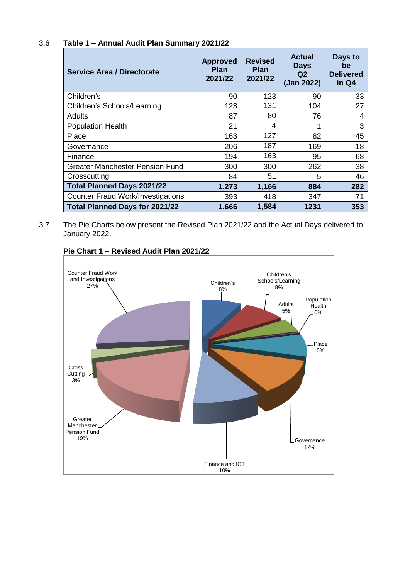# 3.6 **Table 1 – Annual Audit Plan Summary 2021/22**

| <b>Service Area / Directorate</b>        | <b>Approved</b><br><b>Plan</b><br>2021/22 | <b>Revised</b><br><b>Plan</b><br>2021/22 | <b>Actual</b><br><b>Days</b><br>Q <sub>2</sub><br>(Jan 2022) | Days to<br>be<br><b>Delivered</b><br>in Q4 |
|------------------------------------------|-------------------------------------------|------------------------------------------|--------------------------------------------------------------|--------------------------------------------|
| Children's                               | 90                                        | 123                                      | 90                                                           | 33                                         |
| <b>Children's Schools/Learning</b>       | 128                                       | 131                                      | 104                                                          | 27                                         |
| <b>Adults</b>                            | 87                                        | 80                                       | 76                                                           | 4                                          |
| <b>Population Health</b>                 | 21                                        | 4                                        | 1                                                            | 3                                          |
| Place                                    | 163                                       | 127                                      | 82                                                           | 45                                         |
| Governance                               | 206                                       | 187                                      | 169                                                          | 18                                         |
| Finance                                  | 194                                       | 163                                      | 95                                                           | 68                                         |
| Greater Manchester Pension Fund          | 300                                       | 300                                      | 262                                                          | 38                                         |
| Crosscutting                             | 84                                        | 51                                       | 5                                                            | 46                                         |
| <b>Total Planned Days 2021/22</b>        | 1,273                                     | 1,166                                    | 884                                                          | 282                                        |
| <b>Counter Fraud Work/Investigations</b> | 393                                       | 418                                      | 347                                                          | 71                                         |
| <b>Total Planned Days for 2021/22</b>    | 1,666                                     | 1,584                                    | 1231                                                         | 353                                        |

3.7 The Pie Charts below present the Revised Plan 2021/22 and the Actual Days delivered to January 2022.



## **Pie Chart 1 – Revised Audit Plan 2021/22**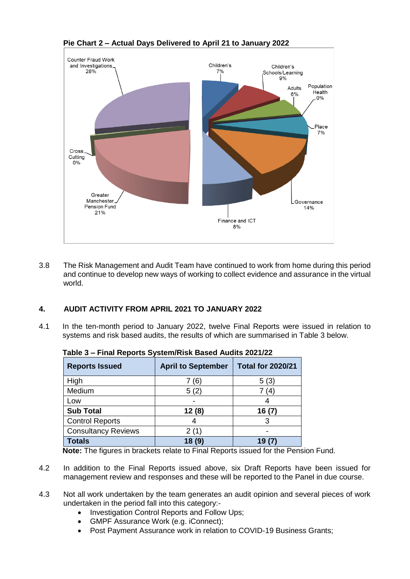

#### **Pie Chart 2 – Actual Days Delivered to April 21 to January 2022**

3.8 The Risk Management and Audit Team have continued to work from home during this period and continue to develop new ways of working to collect evidence and assurance in the virtual world.

## **4. AUDIT ACTIVITY FROM APRIL 2021 TO JANUARY 2022**

4.1 In the ten-month period to January 2022, twelve Final Reports were issued in relation to systems and risk based audits, the results of which are summarised in Table 3 below.

| <b>Reports Issued</b>      | <b>April to September</b> | <b>Total for 2020/21</b> |
|----------------------------|---------------------------|--------------------------|
| High                       | (6)                       | 5(3)                     |
| Medium                     | 5(2)                      | (4)                      |
| Low                        |                           |                          |
| <b>Sub Total</b>           | 12(8)                     | 16(7)                    |
| <b>Control Reports</b>     |                           |                          |
| <b>Consultancy Reviews</b> |                           |                          |
| <b>Totals</b>              | 18                        | 19                       |

| Table 3 – Final Reports System/Risk Based Audits 2021/22 |
|----------------------------------------------------------|
|----------------------------------------------------------|

**Note:** The figures in brackets relate to Final Reports issued for the Pension Fund.

- 4.2 In addition to the Final Reports issued above, six Draft Reports have been issued for management review and responses and these will be reported to the Panel in due course.
- 4.3 Not all work undertaken by the team generates an audit opinion and several pieces of work undertaken in the period fall into this category:-
	- Investigation Control Reports and Follow Ups;
	- GMPF Assurance Work (e.g. iConnect);
	- Post Payment Assurance work in relation to COVID-19 Business Grants;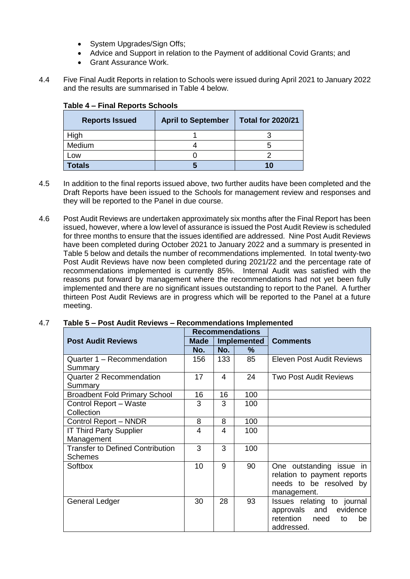- System Upgrades/Sign Offs:
- Advice and Support in relation to the Payment of additional Covid Grants; and
- Grant Assurance Work.
- 4.4 Five Final Audit Reports in relation to Schools were issued during April 2021 to January 2022 and the results are summarised in Table 4 below.

| <b>Reports Issued</b> | <b>April to September</b> | <b>Total for 2020/21</b> |
|-----------------------|---------------------------|--------------------------|
| High                  |                           |                          |
| Medium                |                           |                          |
| Low                   |                           |                          |
| <b>Totals</b>         |                           | 10                       |

## **Table 4 – Final Reports Schools**

- 4.5 In addition to the final reports issued above, two further audits have been completed and the Draft Reports have been issued to the Schools for management review and responses and they will be reported to the Panel in due course.
- 4.6 Post Audit Reviews are undertaken approximately six months after the Final Report has been issued, however, where a low level of assurance is issued the Post Audit Review is scheduled for three months to ensure that the issues identified are addressed. Nine Post Audit Reviews have been completed during October 2021 to January 2022 and a summary is presented in Table 5 below and details the number of recommendations implemented. In total twenty-two Post Audit Reviews have now been completed during 2021/22 and the percentage rate of recommendations implemented is currently 85%. Internal Audit was satisfied with the reasons put forward by management where the recommendations had not yet been fully implemented and there are no significant issues outstanding to report to the Panel. A further thirteen Post Audit Reviews are in progress which will be reported to the Panel at a future meeting.

|                                         | <b>Recommendations</b>            |     |     |                               |
|-----------------------------------------|-----------------------------------|-----|-----|-------------------------------|
| <b>Post Audit Reviews</b>               | <b>Implemented</b><br><b>Made</b> |     |     | <b>Comments</b>               |
|                                         | No.                               | No. | ℅   |                               |
| Quarter 1 - Recommendation              | 156                               | 133 | 85  | Eleven Post Audit Reviews     |
| Summary                                 |                                   |     |     |                               |
| <b>Quarter 2 Recommendation</b>         | 17                                | 4   | 24  | <b>Two Post Audit Reviews</b> |
| Summary                                 |                                   |     |     |                               |
| <b>Broadbent Fold Primary School</b>    | 16                                | 16  | 100 |                               |
| Control Report - Waste                  | 3                                 | 3   | 100 |                               |
| Collection                              |                                   |     |     |                               |
| Control Report - NNDR                   | 8                                 | 8   | 100 |                               |
| <b>IT Third Party Supplier</b>          | 4                                 | 4   | 100 |                               |
| Management                              |                                   |     |     |                               |
| <b>Transfer to Defined Contribution</b> | 3                                 | 3   | 100 |                               |
| <b>Schemes</b>                          |                                   |     |     |                               |
| <b>Softbox</b>                          | 10                                | 9   | 90  | One outstanding issue in      |
|                                         |                                   |     |     | relation to payment reports   |
|                                         |                                   |     |     | needs to be resolved by       |
|                                         |                                   |     |     | management.                   |
| General Ledger                          | 30                                | 28  | 93  | Issues relating to journal    |
|                                         |                                   |     |     | evidence<br>approvals and     |
|                                         |                                   |     |     | retention need<br>to<br>be    |
|                                         |                                   |     |     | addressed.                    |

#### 4.7 **Table 5 – Post Audit Reviews – Recommendations Implemented**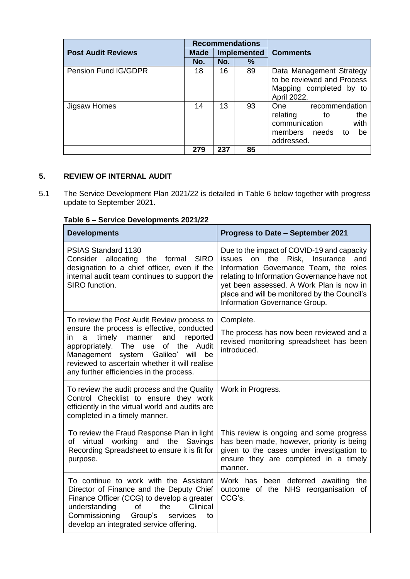|                           | <b>Recommendations</b>     |     |    |                              |
|---------------------------|----------------------------|-----|----|------------------------------|
| <b>Post Audit Reviews</b> | <b>Implemented</b><br>Made |     |    | <b>Comments</b>              |
|                           | No.                        | No. | ℅  |                              |
| Pension Fund IG/GDPR      | 18                         | 16  | 89 | Data Management Strategy     |
|                           |                            |     |    | to be reviewed and Process   |
|                           |                            |     |    | Mapping completed by to      |
|                           |                            |     |    | April 2022.                  |
| Jigsaw Homes              | 14                         | 13  | 93 | recommendation<br>One        |
|                           |                            |     |    | relating<br>the<br>to        |
|                           |                            |     |    | communication<br>with        |
|                           |                            |     |    | members<br>needs<br>be<br>to |
|                           |                            |     |    | addressed.                   |
|                           | 279                        | 237 | 85 |                              |

## **5. REVIEW OF INTERNAL AUDIT**

5.1 The Service Development Plan 2021/22 is detailed in Table 6 below together with progress update to September 2021.

# **Table 6 – Service Developments 2021/22**

| <b>Developments</b>                                                                                                                                                                                                                                                                                                                  | <b>Progress to Date - September 2021</b>                                                                                                                                                                                                                                                                          |
|--------------------------------------------------------------------------------------------------------------------------------------------------------------------------------------------------------------------------------------------------------------------------------------------------------------------------------------|-------------------------------------------------------------------------------------------------------------------------------------------------------------------------------------------------------------------------------------------------------------------------------------------------------------------|
| PSIAS Standard 1130<br>Consider allocating the formal<br><b>SIRO</b><br>designation to a chief officer, even if the<br>internal audit team continues to support the<br>SIRO function.                                                                                                                                                | Due to the impact of COVID-19 and capacity<br>the Risk,<br>Insurance<br>issues<br>and<br>on<br>Information Governance Team, the roles<br>relating to Information Governance have not<br>yet been assessed. A Work Plan is now in<br>place and will be monitored by the Council's<br>Information Governance Group. |
| To review the Post Audit Review process to<br>ensure the process is effective, conducted<br>timely<br>manner<br>and<br>reported<br>a<br>in<br>of the Audit<br>appropriately.<br>The<br>use<br>Management system 'Galileo'<br>will<br>be<br>reviewed to ascertain whether it will realise<br>any further efficiencies in the process. | Complete.<br>The process has now been reviewed and a<br>revised monitoring spreadsheet has been<br>introduced.                                                                                                                                                                                                    |
| To review the audit process and the Quality<br>Control Checklist to ensure they work<br>efficiently in the virtual world and audits are<br>completed in a timely manner.                                                                                                                                                             | Work in Progress.                                                                                                                                                                                                                                                                                                 |
| To review the Fraud Response Plan in light<br>of virtual working and the<br>Savings<br>Recording Spreadsheet to ensure it is fit for<br>purpose.                                                                                                                                                                                     | This review is ongoing and some progress<br>has been made, however, priority is being<br>given to the cases under investigation to<br>ensure they are completed in a timely<br>manner.                                                                                                                            |
| To continue to work with the Assistant<br>Director of Finance and the Deputy Chief<br>Finance Officer (CCG) to develop a greater<br>Clinical<br>understanding<br>of<br>the<br>Commissioning<br>Group's<br>services<br>to<br>develop an integrated service offering.                                                                  | Work has been deferred awaiting the<br>outcome of the NHS reorganisation of<br>CCG's.                                                                                                                                                                                                                             |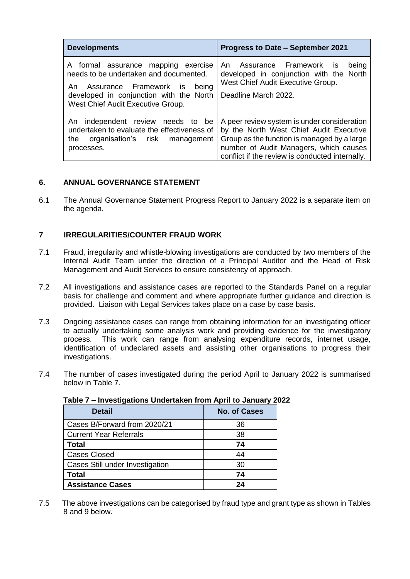| <b>Developments</b>                                                                                                                                                                                 | <b>Progress to Date – September 2021</b>                                                                                                                                                                                           |
|-----------------------------------------------------------------------------------------------------------------------------------------------------------------------------------------------------|------------------------------------------------------------------------------------------------------------------------------------------------------------------------------------------------------------------------------------|
| A formal assurance mapping exercise<br>needs to be undertaken and documented.<br>An Assurance Framework is<br>being<br>developed in conjunction with the North<br>West Chief Audit Executive Group. | An Assurance Framework is<br>being<br>developed in conjunction with the North<br>West Chief Audit Executive Group.<br>Deadline March 2022.                                                                                         |
| An independent review needs to be<br>undertaken to evaluate the effectiveness of<br>organisation's risk management<br>the<br>processes.                                                             | A peer review system is under consideration<br>by the North West Chief Audit Executive<br>Group as the function is managed by a large<br>number of Audit Managers, which causes<br>conflict if the review is conducted internally. |

## **6. ANNUAL GOVERNANCE STATEMENT**

6.1 The Annual Governance Statement Progress Report to January 2022 is a separate item on the agenda.

## **7 IRREGULARITIES/COUNTER FRAUD WORK**

- 7.1 Fraud, irregularity and whistle-blowing investigations are conducted by two members of the Internal Audit Team under the direction of a Principal Auditor and the Head of Risk Management and Audit Services to ensure consistency of approach.
- 7.2 All investigations and assistance cases are reported to the Standards Panel on a regular basis for challenge and comment and where appropriate further guidance and direction is provided. Liaison with Legal Services takes place on a case by case basis.
- 7.3 Ongoing assistance cases can range from obtaining information for an investigating officer to actually undertaking some analysis work and providing evidence for the investigatory process. This work can range from analysing expenditure records, internet usage, identification of undeclared assets and assisting other organisations to progress their investigations.
- 7.4 The number of cases investigated during the period April to January 2022 is summarised below in Table 7.

| <b>Detail</b>                          | <b>No. of Cases</b> |
|----------------------------------------|---------------------|
| Cases B/Forward from 2020/21           | 36                  |
| <b>Current Year Referrals</b>          | 38                  |
| <b>Total</b>                           | 74                  |
| <b>Cases Closed</b>                    | 44                  |
| <b>Cases Still under Investigation</b> | 30                  |
| <b>Total</b>                           | 74                  |
| <b>Assistance Cases</b>                | 24                  |

#### **Table 7 – Investigations Undertaken from April to January 2022**

7.5 The above investigations can be categorised by fraud type and grant type as shown in Tables 8 and 9 below.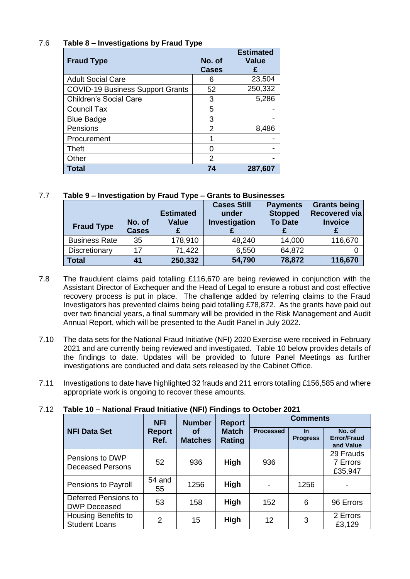# 7.6 **Table 8 – Investigations by Fraud Type**

| <b>Fraud Type</b>                       | No. of<br><b>Cases</b> | <b>Estimated</b><br><b>Value</b> |
|-----------------------------------------|------------------------|----------------------------------|
| <b>Adult Social Care</b>                | 6                      | 23,504                           |
| <b>COVID-19 Business Support Grants</b> | 52                     | 250,332                          |
| <b>Children's Social Care</b>           | 3                      | 5,286                            |
| <b>Council Tax</b>                      | 5                      |                                  |
| <b>Blue Badge</b>                       | 3                      |                                  |
| Pensions                                | $\mathcal{P}$          | 8,486                            |
| Procurement                             |                        |                                  |
| Theft                                   |                        |                                  |
| Other                                   | 2                      |                                  |
| <b>Total</b>                            | 74                     | 287,607                          |

# 7.7 **Table 9 – Investigation by Fraud Type – Grants to Businesses**

| <b>Fraud Type</b>    | No. of<br><b>Cases</b> | <b>Estimated</b><br><b>Value</b> | <b>Cases Still</b><br>under<br>Investigation | <b>Payments</b><br><b>Stopped</b><br><b>To Date</b> | <b>Grants being</b><br><b>Recovered via</b><br><b>Invoice</b> |
|----------------------|------------------------|----------------------------------|----------------------------------------------|-----------------------------------------------------|---------------------------------------------------------------|
| <b>Business Rate</b> | 35                     | 178,910                          | 48,240                                       | 14,000                                              | 116,670                                                       |
| Discretionary        | 17                     | 71,422                           | 6,550                                        | 64,872                                              |                                                               |
| <b>Total</b>         | 41                     | 250,332                          | 54,790                                       | 78,872                                              | 116,670                                                       |

- 7.8 The fraudulent claims paid totalling £116,670 are being reviewed in conjunction with the Assistant Director of Exchequer and the Head of Legal to ensure a robust and cost effective recovery process is put in place. The challenge added by referring claims to the Fraud Investigators has prevented claims being paid totalling £78,872. As the grants have paid out over two financial years, a final summary will be provided in the Risk Management and Audit Annual Report, which will be presented to the Audit Panel in July 2022.
- 7.10 The data sets for the National Fraud Initiative (NFI) 2020 Exercise were received in February 2021 and are currently being reviewed and investigated. Table 10 below provides details of the findings to date. Updates will be provided to future Panel Meetings as further investigations are conducted and data sets released by the Cabinet Office.
- 7.11 Investigations to date have highlighted 32 frauds and 211 errors totalling £156,585 and where appropriate work is ongoing to recover these amounts.

# 7.12 **Table 10 – National Fraud Initiative (NFI) Findings to October 2021**

|                                                                                         | <b>NFI</b>    | <b>Number</b>    | <b>Report</b>                | <b>Comments</b>                           |      |                                  |  |
|-----------------------------------------------------------------------------------------|---------------|------------------|------------------------------|-------------------------------------------|------|----------------------------------|--|
| <b>NFI Data Set</b><br><b>Match</b><br>Report<br>Οf<br><b>Matches</b><br>Rating<br>Ref. |               | <b>Processed</b> | <u>In</u><br><b>Progress</b> | No. of<br><b>Error/Fraud</b><br>and Value |      |                                  |  |
| Pensions to DWP<br><b>Deceased Persons</b>                                              | 52            | 936              | High                         | 936                                       |      | 29 Frauds<br>7 Errors<br>£35,947 |  |
| Pensions to Payroll                                                                     | 54 and<br>55  | 1256             | <b>High</b>                  |                                           | 1256 |                                  |  |
| Deferred Pensions to<br><b>DWP Deceased</b>                                             | 53            | 158              | High                         | 152                                       | 6    | 96 Errors                        |  |
| Housing Benefits to<br><b>Student Loans</b>                                             | $\mathcal{P}$ | 15               | High                         | 12                                        | 3    | 2 Errors<br>£3,129               |  |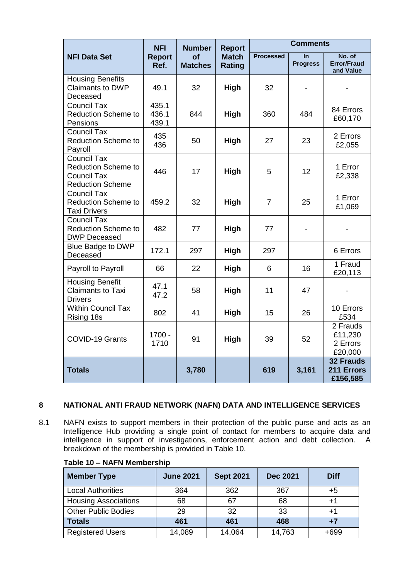|                                                                                                   | <b>NFI</b>              | <b>Number</b>               | <b>Report</b>                 | <b>Comments</b>  |                       |                                            |  |
|---------------------------------------------------------------------------------------------------|-------------------------|-----------------------------|-------------------------------|------------------|-----------------------|--------------------------------------------|--|
| <b>NFI Data Set</b>                                                                               | <b>Report</b><br>Ref.   | <b>of</b><br><b>Matches</b> | <b>Match</b><br><b>Rating</b> | <b>Processed</b> | In<br><b>Progress</b> | No. of<br><b>Error/Fraud</b><br>and Value  |  |
| <b>Housing Benefits</b><br><b>Claimants to DWP</b><br>Deceased                                    | 49.1                    | 32                          | High                          | 32               |                       |                                            |  |
| <b>Council Tax</b><br><b>Reduction Scheme to</b><br>Pensions                                      | 435.1<br>436.1<br>439.1 | 844                         | High                          | 360              | 484                   | 84 Errors<br>£60,170                       |  |
| <b>Council Tax</b><br><b>Reduction Scheme to</b><br>Payroll                                       | 435<br>436              | 50                          | High                          | 27               | 23                    | 2 Errors<br>£2,055                         |  |
| <b>Council Tax</b><br><b>Reduction Scheme to</b><br><b>Council Tax</b><br><b>Reduction Scheme</b> | 446                     | 17                          | High                          | 5                | 12 <sup>2</sup>       | 1 Error<br>£2,338                          |  |
| <b>Council Tax</b><br><b>Reduction Scheme to</b><br><b>Taxi Drivers</b>                           | 459.2                   | 32                          | High                          | $\overline{7}$   | 25                    | 1 Error<br>£1,069                          |  |
| <b>Council Tax</b><br><b>Reduction Scheme to</b><br><b>DWP Deceased</b>                           | 482                     | 77                          | High                          | 77               |                       |                                            |  |
| <b>Blue Badge to DWP</b><br>Deceased                                                              | 172.1                   | 297                         | High                          | 297              |                       | 6 Errors                                   |  |
| Payroll to Payroll                                                                                | 66                      | 22                          | High                          | 6                | 16                    | 1 Fraud<br>£20,113                         |  |
| <b>Housing Benefit</b><br><b>Claimants to Taxi</b><br><b>Drivers</b>                              | 47.1<br>47.2            | 58                          | High                          | 11               | 47                    |                                            |  |
| <b>Within Council Tax</b><br>Rising 18s                                                           | 802                     | 41                          | High                          | 15               | 26                    | 10 Errors<br>£534                          |  |
| COVID-19 Grants                                                                                   | 1700 -<br>1710          | 91                          | High                          | 39               | 52                    | 2 Frauds<br>£11,230<br>2 Errors<br>£20,000 |  |
| <b>Totals</b>                                                                                     |                         | 3,780                       |                               | 619              | 3,161                 | <b>32 Frauds</b><br>211 Errors<br>£156,585 |  |

# **8 NATIONAL ANTI FRAUD NETWORK (NAFN) DATA AND INTELLIGENCE SERVICES**

8.1 NAFN exists to support members in their protection of the public purse and acts as an Intelligence Hub providing a single point of contact for members to acquire data and intelligence in support of investigations, enforcement action and debt collection. A breakdown of the membership is provided in Table 10.

| <b>Member Type</b>          | <b>June 2021</b> | <b>Sept 2021</b> | <b>Dec 2021</b> | <b>Diff</b> |
|-----------------------------|------------------|------------------|-----------------|-------------|
| <b>Local Authorities</b>    | 364              | 362              | 367             | +5          |
| <b>Housing Associations</b> | 68               | 67               | 68              | $+1$        |
| <b>Other Public Bodies</b>  | 29               | 32               | 33              | $+1$        |
| <b>Totals</b>               | 461              | 461              | 468             | $+7$        |
| <b>Registered Users</b>     | 14,089           | 14,064           | 14,763          | $+699$      |

#### **Table 10 – NAFN Membership**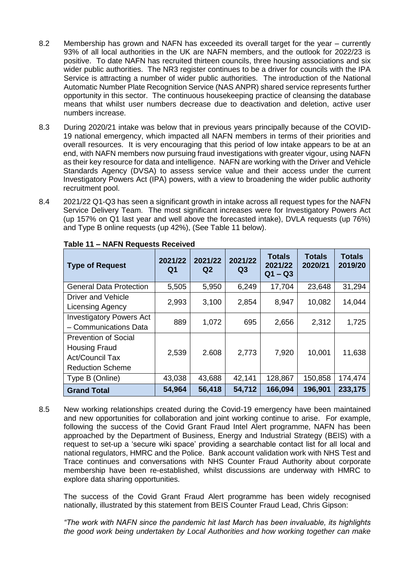- 8.2 Membership has grown and NAFN has exceeded its overall target for the year currently 93% of all local authorities in the UK are NAFN members, and the outlook for 2022/23 is positive. To date NAFN has recruited thirteen councils, three housing associations and six wider public authorities. The NR3 register continues to be a driver for councils with the IPA Service is attracting a number of wider public authorities. The introduction of the National Automatic Number Plate Recognition Service (NAS ANPR) shared service represents further opportunity in this sector. The continuous housekeeping practice of cleansing the database means that whilst user numbers decrease due to deactivation and deletion, active user numbers increase.
- 8.3 During 2020/21 intake was below that in previous years principally because of the COVID-19 national emergency, which impacted all NAFN members in terms of their priorities and overall resources. It is very encouraging that this period of low intake appears to be at an end, with NAFN members now pursuing fraud investigations with greater vigour, using NAFN as their key resource for data and intelligence. NAFN are working with the Driver and Vehicle Standards Agency (DVSA) to assess service value and their access under the current Investigatory Powers Act (IPA) powers, with a view to broadening the wider public authority recruitment pool.
- 8.4 2021/22 Q1-Q3 has seen a significant growth in intake across all request types for the NAFN Service Delivery Team. The most significant increases were for Investigatory Powers Act (up 157% on Q1 last year and well above the forecasted intake), DVLA requests (up 76%) and Type B online requests (up 42%), (See Table 11 below).

| <b>Type of Request</b>                                                                                   | 2021/22<br>Q1 | 2021/22<br>Q <sub>2</sub> | 2021/22<br>Q3 | <b>Totals</b><br>2021/22<br>$Q1 - Q3$ | <b>Totals</b><br>2020/21 | <b>Totals</b><br>2019/20 |
|----------------------------------------------------------------------------------------------------------|---------------|---------------------------|---------------|---------------------------------------|--------------------------|--------------------------|
| <b>General Data Protection</b>                                                                           | 5,505         | 5,950                     | 6,249         | 17,704                                | 23,648                   | 31,294                   |
| <b>Driver and Vehicle</b><br><b>Licensing Agency</b>                                                     | 2,993         | 3,100                     | 2,854         | 8,947                                 | 10,082                   | 14,044                   |
| <b>Investigatory Powers Act</b><br>- Communications Data                                                 | 889           | 1,072                     | 695           | 2,656                                 | 2,312                    | 1,725                    |
| <b>Prevention of Social</b><br><b>Housing Fraud</b><br><b>Act/Council Tax</b><br><b>Reduction Scheme</b> | 2,539         | 2.608                     | 2,773         | 7,920                                 | 10,001                   | 11,638                   |
| Type B (Online)                                                                                          | 43,038        | 43,688                    | 42,141        | 128,867                               | 150,858                  | 174,474                  |
| <b>Grand Total</b>                                                                                       | 54,964        | 56,418                    | 54,712        | 166,094                               | 196,901                  | 233,175                  |

## **Table 11 – NAFN Requests Received**

8.5 New working relationships created during the Covid-19 emergency have been maintained and new opportunities for collaboration and joint working continue to arise. For example, following the success of the Covid Grant Fraud Intel Alert programme, NAFN has been approached by the Department of Business, Energy and Industrial Strategy (BEIS) with a request to set-up a 'secure wiki space' providing a searchable contact list for all local and national regulators, HMRC and the Police. Bank account validation work with NHS Test and Trace continues and conversations with NHS Counter Fraud Authority about corporate membership have been re-established, whilst discussions are underway with HMRC to explore data sharing opportunities.

The success of the Covid Grant Fraud Alert programme has been widely recognised nationally, illustrated by this statement from BEIS Counter Fraud Lead, Chris Gipson:

*"The work with NAFN since the pandemic hit last March has been invaluable, its highlights the good work being undertaken by Local Authorities and how working together can make*